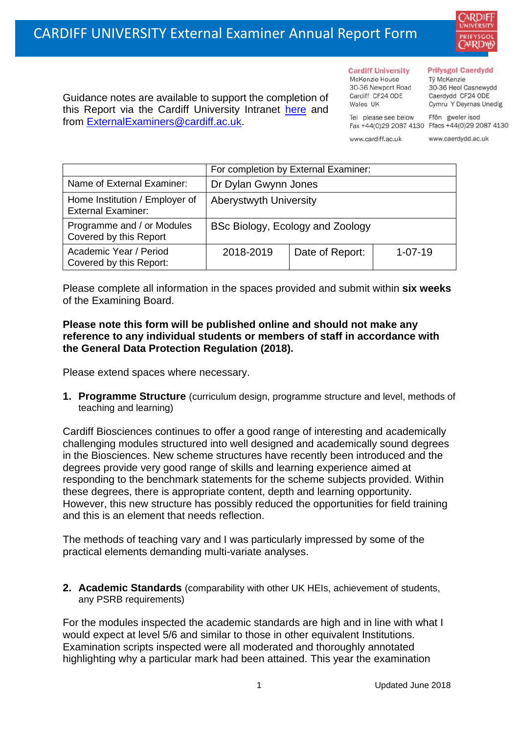

Guidance notes are available to support the completion of this Report via the Cardiff University Intranet [here](https://intranet.cardiff.ac.uk/staff/teaching-and-supporting-students/exams-and-assessment/exam-boards-and-external-examiners/for-current-external-examiners/external-examiners-reports) and from [ExternalExaminers@cardiff.ac.uk.](mailto:ExternalExaminers@cardiff.ac.uk)

**Cardiff University** McKenzie House 30-36 Newport Road

## **Prifysgol Caerdydd**

Từ McKenzie 30-36 Heol Casnewydd Caerdydd CF24 ODE Cymru Y Deyrnas Unedig

Tel please see below Ffôn gweler isod Fax +44(0)29 2087 4130 Ffacs +44(0)29 2087 4130

www.cardiff.ac.uk

Cardiff CF24 ODE

Wales UK

www.caerdydd.ac.uk

|                                                             | For completion by External Examiner: |                 |               |  |
|-------------------------------------------------------------|--------------------------------------|-----------------|---------------|--|
| Name of External Examiner:                                  | Dr Dylan Gwynn Jones                 |                 |               |  |
| Home Institution / Employer of<br><b>External Examiner:</b> | <b>Aberystwyth University</b>        |                 |               |  |
| Programme and / or Modules<br>Covered by this Report        | BSc Biology, Ecology and Zoology     |                 |               |  |
| Academic Year / Period<br>Covered by this Report:           | 2018-2019                            | Date of Report: | $1 - 07 - 19$ |  |

Please complete all information in the spaces provided and submit within **six weeks** of the Examining Board.

## **Please note this form will be published online and should not make any reference to any individual students or members of staff in accordance with the General Data Protection Regulation (2018).**

Please extend spaces where necessary.

**1. Programme Structure** (curriculum design, programme structure and level, methods of teaching and learning)

Cardiff Biosciences continues to offer a good range of interesting and academically challenging modules structured into well designed and academically sound degrees in the Biosciences. New scheme structures have recently been introduced and the degrees provide very good range of skills and learning experience aimed at responding to the benchmark statements for the scheme subjects provided. Within these degrees, there is appropriate content, depth and learning opportunity. However, this new structure has possibly reduced the opportunities for field training and this is an element that needs reflection.

The methods of teaching vary and I was particularly impressed by some of the practical elements demanding multi-variate analyses.

**2. Academic Standards** (comparability with other UK HEIs, achievement of students, any PSRB requirements)

For the modules inspected the academic standards are high and in line with what I would expect at level 5/6 and similar to those in other equivalent Institutions. Examination scripts inspected were all moderated and thoroughly annotated highlighting why a particular mark had been attained. This year the examination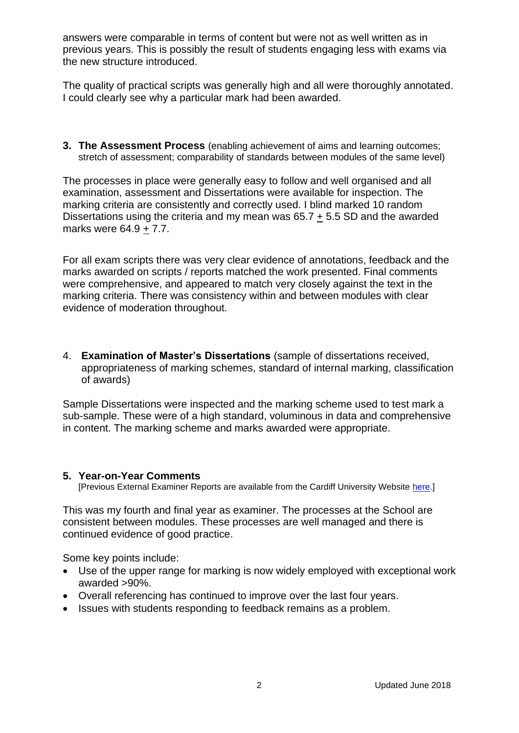answers were comparable in terms of content but were not as well written as in previous years. This is possibly the result of students engaging less with exams via the new structure introduced.

The quality of practical scripts was generally high and all were thoroughly annotated. I could clearly see why a particular mark had been awarded.

**3. The Assessment Process** (enabling achievement of aims and learning outcomes; stretch of assessment; comparability of standards between modules of the same level)

The processes in place were generally easy to follow and well organised and all examination, assessment and Dissertations were available for inspection. The marking criteria are consistently and correctly used. I blind marked 10 random Dissertations using the criteria and my mean was 65.7 + 5.5 SD and the awarded marks were 64.9 + 7.7.

For all exam scripts there was very clear evidence of annotations, feedback and the marks awarded on scripts / reports matched the work presented. Final comments were comprehensive, and appeared to match very closely against the text in the marking criteria. There was consistency within and between modules with clear evidence of moderation throughout.

4. **Examination of Master's Dissertations** (sample of dissertations received, appropriateness of marking schemes, standard of internal marking, classification of awards)

Sample Dissertations were inspected and the marking scheme used to test mark a sub-sample. These were of a high standard, voluminous in data and comprehensive in content. The marking scheme and marks awarded were appropriate.

## **5. Year-on-Year Comments**

[Previous External Examiner Reports are available from the Cardiff University Website [here.](https://www.cardiff.ac.uk/public-information/quality-and-standards/external-examiner-reports)]

This was my fourth and final year as examiner. The processes at the School are consistent between modules. These processes are well managed and there is continued evidence of good practice.

Some key points include:

- Use of the upper range for marking is now widely employed with exceptional work awarded >90%.
- Overall referencing has continued to improve over the last four years.
- Issues with students responding to feedback remains as a problem.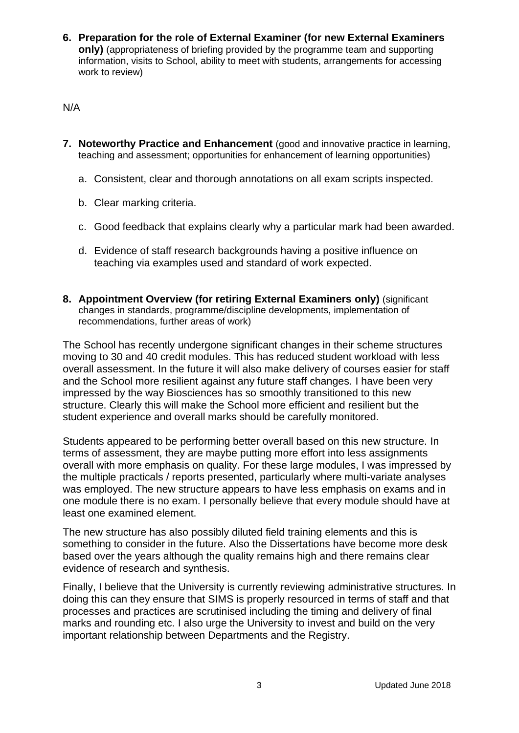**6. Preparation for the role of External Examiner (for new External Examiners only)** (appropriateness of briefing provided by the programme team and supporting information, visits to School, ability to meet with students, arrangements for accessing work to review)

N/A

- **7. Noteworthy Practice and Enhancement** (good and innovative practice in learning, teaching and assessment; opportunities for enhancement of learning opportunities)
	- a. Consistent, clear and thorough annotations on all exam scripts inspected.
	- b. Clear marking criteria.
	- c. Good feedback that explains clearly why a particular mark had been awarded.
	- d. Evidence of staff research backgrounds having a positive influence on teaching via examples used and standard of work expected.
- **8. Appointment Overview (for retiring External Examiners only)** (significant changes in standards, programme/discipline developments, implementation of recommendations, further areas of work)

The School has recently undergone significant changes in their scheme structures moving to 30 and 40 credit modules. This has reduced student workload with less overall assessment. In the future it will also make delivery of courses easier for staff and the School more resilient against any future staff changes. I have been very impressed by the way Biosciences has so smoothly transitioned to this new structure. Clearly this will make the School more efficient and resilient but the student experience and overall marks should be carefully monitored.

Students appeared to be performing better overall based on this new structure. In terms of assessment, they are maybe putting more effort into less assignments overall with more emphasis on quality. For these large modules, I was impressed by the multiple practicals / reports presented, particularly where multi-variate analyses was employed. The new structure appears to have less emphasis on exams and in one module there is no exam. I personally believe that every module should have at least one examined element.

The new structure has also possibly diluted field training elements and this is something to consider in the future. Also the Dissertations have become more desk based over the years although the quality remains high and there remains clear evidence of research and synthesis.

Finally, I believe that the University is currently reviewing administrative structures. In doing this can they ensure that SIMS is properly resourced in terms of staff and that processes and practices are scrutinised including the timing and delivery of final marks and rounding etc. I also urge the University to invest and build on the very important relationship between Departments and the Registry.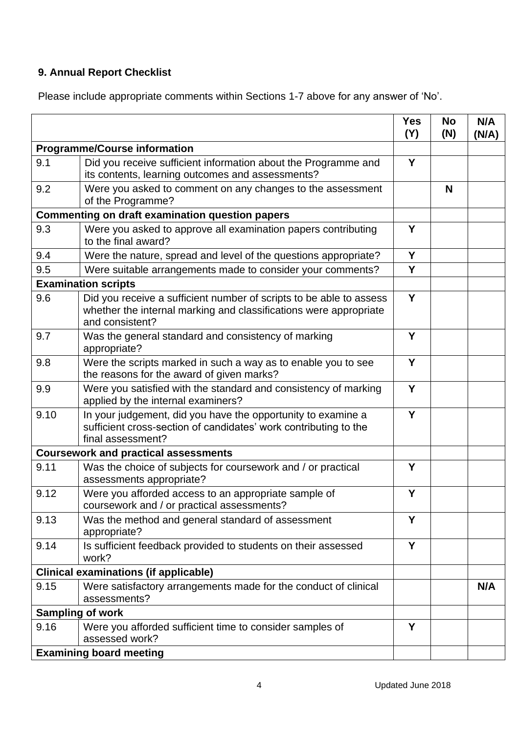## **9. Annual Report Checklist**

Please include appropriate comments within Sections 1-7 above for any answer of 'No'.

|                                                        |                                                                                                                                                             | <b>Yes</b><br>(Y) | <b>No</b><br>(N) | N/A<br>(N/A) |
|--------------------------------------------------------|-------------------------------------------------------------------------------------------------------------------------------------------------------------|-------------------|------------------|--------------|
| <b>Programme/Course information</b>                    |                                                                                                                                                             |                   |                  |              |
| 9.1                                                    | Did you receive sufficient information about the Programme and<br>its contents, learning outcomes and assessments?                                          | Y                 |                  |              |
| 9.2                                                    | Were you asked to comment on any changes to the assessment<br>of the Programme?                                                                             |                   | N                |              |
| <b>Commenting on draft examination question papers</b> |                                                                                                                                                             |                   |                  |              |
| 9.3                                                    | Were you asked to approve all examination papers contributing<br>to the final award?                                                                        | Y                 |                  |              |
| 9.4                                                    | Were the nature, spread and level of the questions appropriate?                                                                                             | Y                 |                  |              |
| 9.5                                                    | Were suitable arrangements made to consider your comments?                                                                                                  | Y                 |                  |              |
|                                                        | <b>Examination scripts</b>                                                                                                                                  |                   |                  |              |
| 9.6                                                    | Did you receive a sufficient number of scripts to be able to assess<br>whether the internal marking and classifications were appropriate<br>and consistent? | Y                 |                  |              |
| 9.7                                                    | Was the general standard and consistency of marking<br>appropriate?                                                                                         | Y                 |                  |              |
| 9.8                                                    | Were the scripts marked in such a way as to enable you to see<br>the reasons for the award of given marks?                                                  | Y                 |                  |              |
| 9.9                                                    | Were you satisfied with the standard and consistency of marking<br>applied by the internal examiners?                                                       | Y                 |                  |              |
| 9.10                                                   | In your judgement, did you have the opportunity to examine a<br>sufficient cross-section of candidates' work contributing to the<br>final assessment?       | Y                 |                  |              |
| <b>Coursework and practical assessments</b>            |                                                                                                                                                             |                   |                  |              |
| 9.11                                                   | Was the choice of subjects for coursework and / or practical<br>assessments appropriate?                                                                    | Y                 |                  |              |
| 9.12                                                   | Were you afforded access to an appropriate sample of<br>coursework and / or practical assessments?                                                          | Υ                 |                  |              |
| 9.13                                                   | Was the method and general standard of assessment<br>appropriate?                                                                                           | Y                 |                  |              |
| 9.14                                                   | Is sufficient feedback provided to students on their assessed<br>work?                                                                                      | Y                 |                  |              |
| <b>Clinical examinations (if applicable)</b>           |                                                                                                                                                             |                   |                  |              |
| 9.15                                                   | Were satisfactory arrangements made for the conduct of clinical<br>assessments?                                                                             |                   |                  | N/A          |
| <b>Sampling of work</b>                                |                                                                                                                                                             |                   |                  |              |
| 9.16                                                   | Were you afforded sufficient time to consider samples of<br>assessed work?                                                                                  | Y                 |                  |              |
| <b>Examining board meeting</b>                         |                                                                                                                                                             |                   |                  |              |